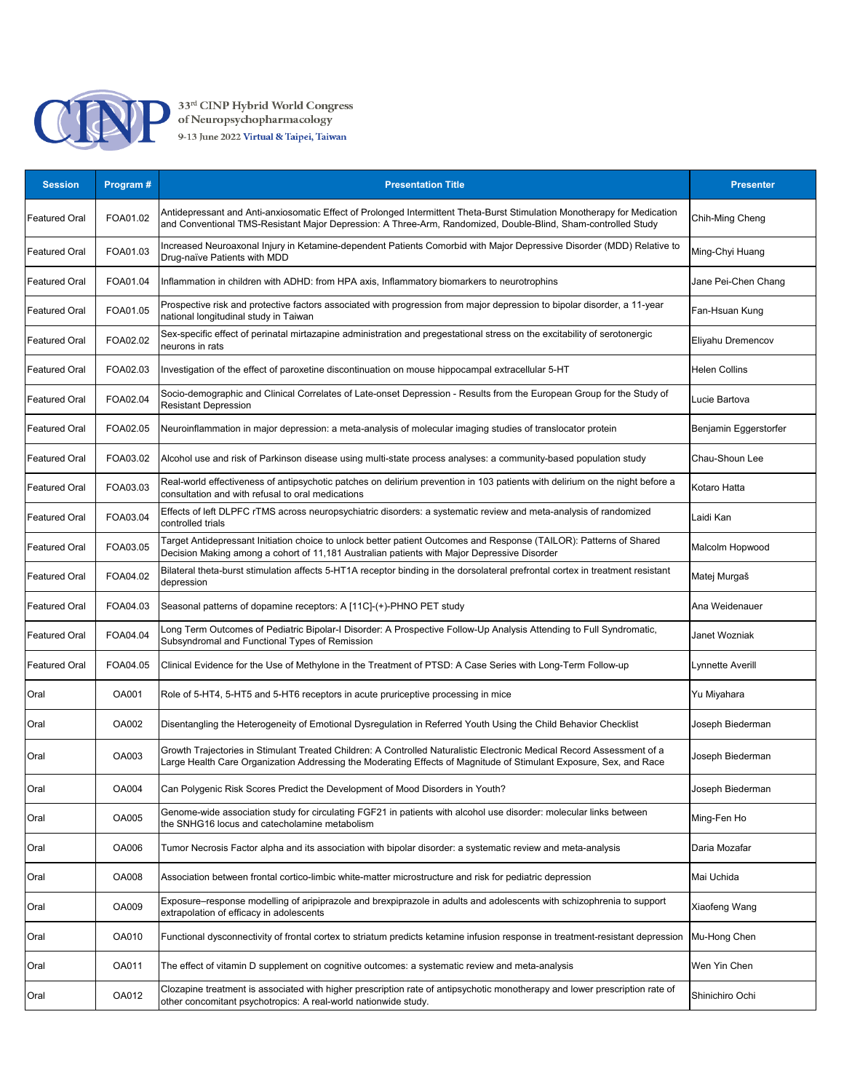

| <b>Session</b>       | Program #    | <b>Presentation Title</b>                                                                                                                                                                                                                    | <b>Presenter</b>      |
|----------------------|--------------|----------------------------------------------------------------------------------------------------------------------------------------------------------------------------------------------------------------------------------------------|-----------------------|
| Featured Oral        | FOA01.02     | Antidepressant and Anti-anxiosomatic Effect of Prolonged Intermittent Theta-Burst Stimulation Monotherapy for Medication<br>and Conventional TMS-Resistant Major Depression: A Three-Arm, Randomized, Double-Blind, Sham-controlled Study    | Chih-Ming Cheng       |
| Featured Oral        | FOA01.03     | Increased Neuroaxonal Injury in Ketamine-dependent Patients Comorbid with Major Depressive Disorder (MDD) Relative to<br>Drug-naïve Patients with MDD                                                                                        | Ming-Chyi Huang       |
| Featured Oral        | FOA01.04     | Inflammation in children with ADHD: from HPA axis, Inflammatory biomarkers to neurotrophins                                                                                                                                                  | Jane Pei-Chen Chang   |
| <b>Featured Oral</b> | FOA01.05     | Prospective risk and protective factors associated with progression from major depression to bipolar disorder, a 11-year<br>national longitudinal study in Taiwan                                                                            | Fan-Hsuan Kung        |
| Featured Oral        | FOA02.02     | Sex-specific effect of perinatal mirtazapine administration and pregestational stress on the excitability of serotonergic<br>neurons in rats                                                                                                 | Eliyahu Dremencov     |
| <b>Featured Oral</b> | FOA02.03     | Investigation of the effect of paroxetine discontinuation on mouse hippocampal extracellular 5-HT                                                                                                                                            | <b>Helen Collins</b>  |
| Featured Oral        | FOA02.04     | Socio-demographic and Clinical Correlates of Late-onset Depression - Results from the European Group for the Study of<br><b>Resistant Depression</b>                                                                                         | Lucie Bartova         |
| Featured Oral        | FOA02.05     | Neuroinflammation in major depression: a meta-analysis of molecular imaging studies of translocator protein                                                                                                                                  | Benjamin Eggerstorfer |
| Featured Oral        | FOA03.02     | Alcohol use and risk of Parkinson disease using multi-state process analyses: a community-based population study                                                                                                                             | Chau-Shoun Lee        |
| <b>Featured Oral</b> | FOA03.03     | Real-world effectiveness of antipsychotic patches on delirium prevention in 103 patients with delirium on the night before a<br>consultation and with refusal to oral medications                                                            | Kotaro Hatta          |
| Featured Oral        | FOA03.04     | Effects of left DLPFC rTMS across neuropsychiatric disorders: a systematic review and meta-analysis of randomized<br>controlled trials                                                                                                       | Laidi Kan             |
| Featured Oral        | FOA03.05     | Target Antidepressant Initiation choice to unlock better patient Outcomes and Response (TAILOR): Patterns of Shared<br>Decision Making among a cohort of 11,181 Australian patients with Major Depressive Disorder                           | Malcolm Hopwood       |
| Featured Oral        | FOA04.02     | Bilateral theta-burst stimulation affects 5-HT1A receptor binding in the dorsolateral prefrontal cortex in treatment resistant<br>depression                                                                                                 | Matej Murgaš          |
| Featured Oral        | FOA04.03     | Seasonal patterns of dopamine receptors: A [11C]-(+)-PHNO PET study                                                                                                                                                                          | Ana Weidenauer        |
| <b>Featured Oral</b> | FOA04.04     | Long Term Outcomes of Pediatric Bipolar-I Disorder: A Prospective Follow-Up Analysis Attending to Full Syndromatic,<br>Subsyndromal and Functional Types of Remission                                                                        | Janet Wozniak         |
| Featured Oral        | FOA04.05     | Clinical Evidence for the Use of Methylone in the Treatment of PTSD: A Case Series with Long-Term Follow-up                                                                                                                                  | Lynnette Averill      |
| Oral                 | OA001        | Role of 5-HT4, 5-HT5 and 5-HT6 receptors in acute pruriceptive processing in mice                                                                                                                                                            | Yu Miyahara           |
| Oral                 | OA002        | Disentangling the Heterogeneity of Emotional Dysregulation in Referred Youth Using the Child Behavior Checklist                                                                                                                              | Joseph Biederman      |
| Oral                 | OA003        | Growth Trajectories in Stimulant Treated Children: A Controlled Naturalistic Electronic Medical Record Assessment of a<br>Large Health Care Organization Addressing the Moderating Effects of Magnitude of Stimulant Exposure, Sex, and Race | Joseph Biederman      |
| Oral                 | OA004        | Can Polygenic Risk Scores Predict the Development of Mood Disorders in Youth?                                                                                                                                                                | Joseph Biederman      |
| Oral                 | OA005        | Genome-wide association study for circulating FGF21 in patients with alcohol use disorder: molecular links between<br>the SNHG16 locus and catecholamine metabolism                                                                          | Ming-Fen Ho           |
| Oral                 | OA006        | Tumor Necrosis Factor alpha and its association with bipolar disorder: a systematic review and meta-analysis                                                                                                                                 | Daria Mozafar         |
| Oral                 | <b>OA008</b> | Association between frontal cortico-limbic white-matter microstructure and risk for pediatric depression                                                                                                                                     | Mai Uchida            |
| Oral                 | OA009        | Exposure–response modelling of aripiprazole and brexpiprazole in adults and adolescents with schizophrenia to support<br>extrapolation of efficacy in adolescents                                                                            | Xiaofeng Wang         |
| Oral                 | OA010        | Functional dysconnectivity of frontal cortex to striatum predicts ketamine infusion response in treatment-resistant depression                                                                                                               | Mu-Hong Chen          |
| Oral                 | OA011        | The effect of vitamin D supplement on cognitive outcomes: a systematic review and meta-analysis                                                                                                                                              | Wen Yin Chen          |
| Oral                 | OA012        | Clozapine treatment is associated with higher prescription rate of antipsychotic monotherapy and lower prescription rate of<br>other concomitant psychotropics: A real-world nationwide study.                                               | Shinichiro Ochi       |
|                      |              |                                                                                                                                                                                                                                              |                       |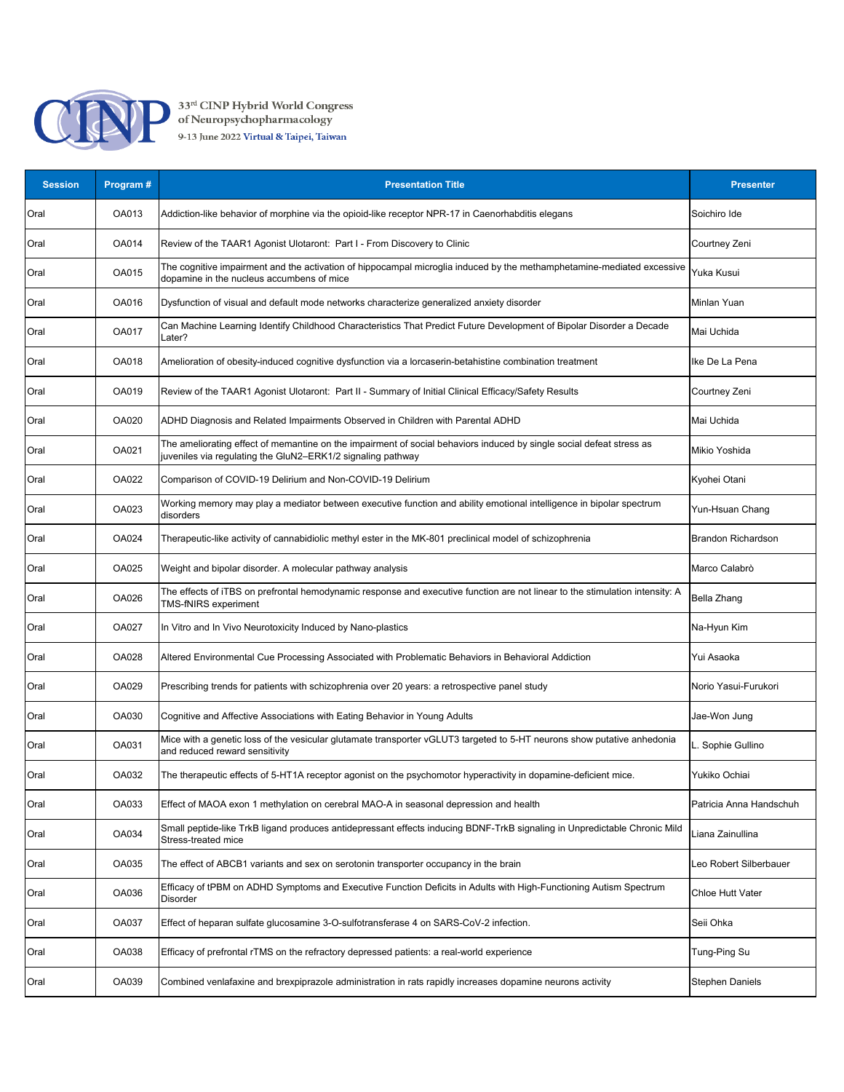

| <b>Session</b> | Program#     | <b>Presentation Title</b>                                                                                                                                                           | <b>Presenter</b>          |
|----------------|--------------|-------------------------------------------------------------------------------------------------------------------------------------------------------------------------------------|---------------------------|
| Oral           | OA013        | Addiction-like behavior of morphine via the opioid-like receptor NPR-17 in Caenorhabditis elegans                                                                                   | Soichiro Ide              |
| Oral           | OA014        | Review of the TAAR1 Agonist Ulotaront: Part I - From Discovery to Clinic                                                                                                            | Courtney Zeni             |
| Oral           | OA015        | The cognitive impairment and the activation of hippocampal microglia induced by the methamphetamine-mediated excessive<br>dopamine in the nucleus accumbens of mice                 | Yuka Kusui                |
| Oral           | OA016        | Dysfunction of visual and default mode networks characterize generalized anxiety disorder                                                                                           | Minlan Yuan               |
| Oral           | <b>OA017</b> | Can Machine Learning Identify Childhood Characteristics That Predict Future Development of Bipolar Disorder a Decade<br>Later?                                                      | Mai Uchida                |
| Oral           | OA018        | Amelioration of obesity-induced cognitive dysfunction via a lorcaserin-betahistine combination treatment                                                                            | Ike De La Pena            |
| Oral           | OA019        | Review of the TAAR1 Agonist Ulotaront: Part II - Summary of Initial Clinical Efficacy/Safety Results                                                                                | Courtney Zeni             |
| Oral           | OA020        | ADHD Diagnosis and Related Impairments Observed in Children with Parental ADHD                                                                                                      | Mai Uchida                |
| Oral           | OA021        | The ameliorating effect of memantine on the impairment of social behaviors induced by single social defeat stress as<br>juveniles via regulating the GluN2–ERK1/2 signaling pathway | Mikio Yoshida             |
| Oral           | OA022        | Comparison of COVID-19 Delirium and Non-COVID-19 Delirium                                                                                                                           | Kyohei Otani              |
| Oral           | OA023        | Working memory may play a mediator between executive function and ability emotional intelligence in bipolar spectrum<br>disorders                                                   | Yun-Hsuan Chang           |
| Oral           | <b>OA024</b> | Therapeutic-like activity of cannabidiolic methyl ester in the MK-801 preclinical model of schizophrenia                                                                            | <b>Brandon Richardson</b> |
| Oral           | OA025        | Weight and bipolar disorder. A molecular pathway analysis                                                                                                                           | Marco Calabrò             |
| Oral           | OA026        | The effects of iTBS on prefrontal hemodynamic response and executive function are not linear to the stimulation intensity: A<br><b>TMS-fNIRS</b> experiment                         | Bella Zhang               |
| Oral           | <b>OA027</b> | In Vitro and In Vivo Neurotoxicity Induced by Nano-plastics                                                                                                                         | Na-Hyun Kim               |
| Oral           | OA028        | Altered Environmental Cue Processing Associated with Problematic Behaviors in Behavioral Addiction                                                                                  | Yui Asaoka                |
| Oral           | OA029        | Prescribing trends for patients with schizophrenia over 20 years: a retrospective panel study                                                                                       | Norio Yasui-Furukori      |
| Oral           | OA030        | Cognitive and Affective Associations with Eating Behavior in Young Adults                                                                                                           | Jae-Won Jung              |
| Oral           | OA031        | Mice with a genetic loss of the vesicular glutamate transporter vGLUT3 targeted to 5-HT neurons show putative anhedonia<br>and reduced reward sensitivity                           | L. Sophie Gullino         |
| Oral           | OA032        | The therapeutic effects of 5-HT1A receptor agonist on the psychomotor hyperactivity in dopamine-deficient mice.                                                                     | Yukiko Ochiai             |
| Oral           | OA033        | Effect of MAOA exon 1 methylation on cerebral MAO-A in seasonal depression and health                                                                                               | Patricia Anna Handschuh   |
| Oral           | OA034        | Small peptide-like TrkB ligand produces antidepressant effects inducing BDNF-TrkB signaling in Unpredictable Chronic Mild<br>Stress-treated mice                                    | Liana Zainullina          |
| Oral           | OA035        | The effect of ABCB1 variants and sex on serotonin transporter occupancy in the brain                                                                                                | Leo Robert Silberbauer    |
| Oral           | OA036        | Efficacy of tPBM on ADHD Symptoms and Executive Function Deficits in Adults with High-Functioning Autism Spectrum<br><b>Disorder</b>                                                | Chloe Hutt Vater          |
| Oral           | OA037        | Effect of heparan sulfate glucosamine 3-O-sulfotransferase 4 on SARS-CoV-2 infection.                                                                                               | Seii Ohka                 |
| Oral           | OA038        | Efficacy of prefrontal rTMS on the refractory depressed patients: a real-world experience                                                                                           | Tung-Ping Su              |
| Oral           | OA039        | Combined venlafaxine and brexpiprazole administration in rats rapidly increases dopamine neurons activity                                                                           | Stephen Daniels           |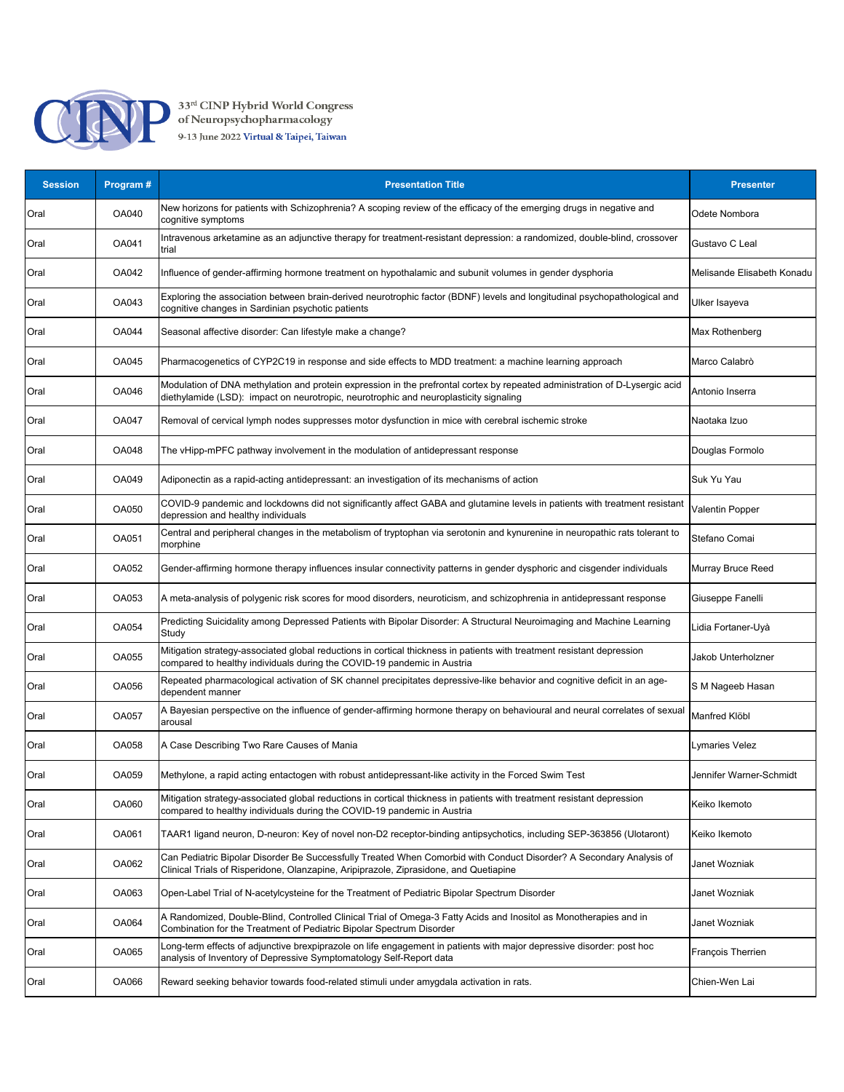

| <b>Session</b> | Program #    | <b>Presentation Title</b>                                                                                                                                                                                            | <b>Presenter</b>           |
|----------------|--------------|----------------------------------------------------------------------------------------------------------------------------------------------------------------------------------------------------------------------|----------------------------|
| Oral           | OA040        | New horizons for patients with Schizophrenia? A scoping review of the efficacy of the emerging drugs in negative and<br>cognitive symptoms                                                                           | Odete Nombora              |
| Oral           | OA041        | Intravenous arketamine as an adjunctive therapy for treatment-resistant depression: a randomized, double-blind, crossover<br>trial                                                                                   | Gustavo C Leal             |
| Oral           | OA042        | Influence of gender-affirming hormone treatment on hypothalamic and subunit volumes in gender dysphoria                                                                                                              | Melisande Elisabeth Konadu |
| Oral           | OA043        | Exploring the association between brain-derived neurotrophic factor (BDNF) levels and longitudinal psychopathological and<br>cognitive changes in Sardinian psychotic patients                                       | Ulker Isayeva              |
| Oral           | OA044        | Seasonal affective disorder: Can lifestyle make a change?                                                                                                                                                            | Max Rothenberg             |
| Oral           | OA045        | Pharmacogenetics of CYP2C19 in response and side effects to MDD treatment: a machine learning approach                                                                                                               | Marco Calabrò              |
| Oral           | OA046        | Modulation of DNA methylation and protein expression in the prefrontal cortex by repeated administration of D-Lysergic acid<br>diethylamide (LSD): impact on neurotropic, neurotrophic and neuroplasticity signaling | Antonio Inserra            |
| Oral           | OA047        | Removal of cervical lymph nodes suppresses motor dysfunction in mice with cerebral ischemic stroke                                                                                                                   | Naotaka Izuo               |
| Oral           | OA048        | The vHipp-mPFC pathway involvement in the modulation of antidepressant response                                                                                                                                      | Douglas Formolo            |
| Oral           | OA049        | Adiponectin as a rapid-acting antidepressant: an investigation of its mechanisms of action                                                                                                                           | Suk Yu Yau                 |
| Oral           | OA050        | COVID-9 pandemic and lockdowns did not significantly affect GABA and glutamine levels in patients with treatment resistant<br>depression and healthy individuals                                                     | Valentin Popper            |
| Oral           | OA051        | Central and peripheral changes in the metabolism of tryptophan via serotonin and kynurenine in neuropathic rats tolerant to<br>morphine                                                                              | Stefano Comai              |
| Oral           | OA052        | Gender-affirming hormone therapy influences insular connectivity patterns in gender dysphoric and cisgender individuals                                                                                              | Murray Bruce Reed          |
| Oral           | OA053        | A meta-analysis of polygenic risk scores for mood disorders, neuroticism, and schizophrenia in antidepressant response                                                                                               | Giuseppe Fanelli           |
| Oral           | OA054        | Predicting Suicidality among Depressed Patients with Bipolar Disorder: A Structural Neuroimaging and Machine Learning<br>Study                                                                                       | Lidia Fortaner-Uyà         |
| Oral           | <b>OA055</b> | Mitigation strategy-associated global reductions in cortical thickness in patients with treatment resistant depression<br>compared to healthy individuals during the COVID-19 pandemic in Austria                    | Jakob Unterholzner         |
| Oral           | OA056        | Repeated pharmacological activation of SK channel precipitates depressive-like behavior and cognitive deficit in an age-<br>dependent manner                                                                         | S M Nageeb Hasan           |
| Oral           | OA057        | A Bayesian perspective on the influence of gender-affirming hormone therapy on behavioural and neural correlates of sexual<br>arousal                                                                                | Manfred Klöbl              |
| Oral           | OA058        | A Case Describing Two Rare Causes of Mania                                                                                                                                                                           | Lymaries Velez             |
| Oral           | OA059        | Methylone, a rapid acting entactogen with robust antidepressant-like activity in the Forced Swim Test                                                                                                                | Jennifer Warner-Schmidt    |
| Oral           | OA060        | Mitigation strategy-associated global reductions in cortical thickness in patients with treatment resistant depression<br>compared to healthy individuals during the COVID-19 pandemic in Austria                    | Keiko Ikemoto              |
| Oral           | OA061        | TAAR1 ligand neuron, D-neuron: Key of novel non-D2 receptor-binding antipsychotics, including SEP-363856 (Ulotaront)                                                                                                 | Keiko Ikemoto              |
| Oral           | OA062        | Can Pediatric Bipolar Disorder Be Successfully Treated When Comorbid with Conduct Disorder? A Secondary Analysis of<br>Clinical Trials of Risperidone, Olanzapine, Aripiprazole, Ziprasidone, and Quetiapine         | Janet Wozniak              |
| Oral           | OA063        | Open-Label Trial of N-acetylcysteine for the Treatment of Pediatric Bipolar Spectrum Disorder                                                                                                                        | Janet Wozniak              |
| Oral           | OA064        | A Randomized, Double-Blind, Controlled Clinical Trial of Omega-3 Fatty Acids and Inositol as Monotherapies and in<br>Combination for the Treatment of Pediatric Bipolar Spectrum Disorder                            | Janet Wozniak              |
| Oral           | OA065        | Long-term effects of adjunctive brexpiprazole on life engagement in patients with major depressive disorder: post hoc<br>analysis of Inventory of Depressive Symptomatology Self-Report data                         | François Therrien          |
| Oral           | OA066        | Reward seeking behavior towards food-related stimuli under amygdala activation in rats.                                                                                                                              | Chien-Wen Lai              |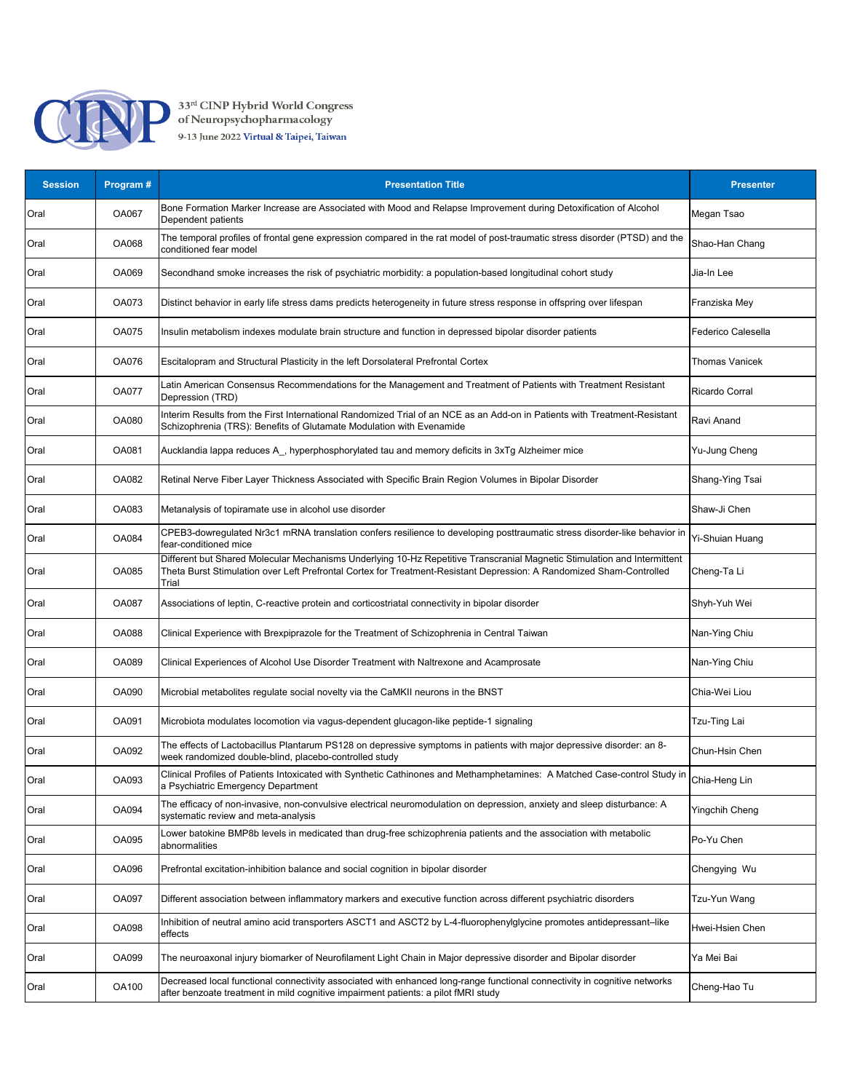

33<sup>rd</sup> CINP Hybrid World Congress<br>of Neuropsychopharmacology<br>9-13 June 2022 Virtual & Taipei, Taiwan

| <b>Session</b> | Program #    | <b>Presentation Title</b>                                                                                                                                                                                                                                 | <b>Presenter</b>      |
|----------------|--------------|-----------------------------------------------------------------------------------------------------------------------------------------------------------------------------------------------------------------------------------------------------------|-----------------------|
| Oral           | OA067        | Bone Formation Marker Increase are Associated with Mood and Relapse Improvement during Detoxification of Alcohol<br>Dependent patients                                                                                                                    | Megan Tsao            |
| Oral           | OA068        | The temporal profiles of frontal gene expression compared in the rat model of post-traumatic stress disorder (PTSD) and the<br>conditioned fear model                                                                                                     | Shao-Han Chang        |
| Oral           | OA069        | Secondhand smoke increases the risk of psychiatric morbidity: a population-based longitudinal cohort study                                                                                                                                                | Jia-In Lee            |
| Oral           | OA073        | Distinct behavior in early life stress dams predicts heterogeneity in future stress response in offspring over lifespan                                                                                                                                   | Franziska Mey         |
| Oral           | <b>OA075</b> | Insulin metabolism indexes modulate brain structure and function in depressed bipolar disorder patients                                                                                                                                                   | Federico Calesella    |
| Oral           | OA076        | Escitalopram and Structural Plasticity in the left Dorsolateral Prefrontal Cortex                                                                                                                                                                         | <b>Thomas Vanicek</b> |
| Oral           | <b>OA077</b> | Latin American Consensus Recommendations for the Management and Treatment of Patients with Treatment Resistant<br>Depression (TRD)                                                                                                                        | Ricardo Corral        |
| Oral           | OA080        | Interim Results from the First International Randomized Trial of an NCE as an Add-on in Patients with Treatment-Resistant<br>Schizophrenia (TRS): Benefits of Glutamate Modulation with Evenamide                                                         | Ravi Anand            |
| Oral           | OA081        | Aucklandia lappa reduces A_, hyperphosphorylated tau and memory deficits in 3xTg Alzheimer mice                                                                                                                                                           | Yu-Jung Cheng         |
| Oral           | OA082        | Retinal Nerve Fiber Layer Thickness Associated with Specific Brain Region Volumes in Bipolar Disorder                                                                                                                                                     | Shang-Ying Tsai       |
| Oral           | OA083        | Metanalysis of topiramate use in alcohol use disorder                                                                                                                                                                                                     | Shaw-Ji Chen          |
| Oral           | OA084        | CPEB3-dowregulated Nr3c1 mRNA translation confers resilience to developing posttraumatic stress disorder-like behavior in<br>fear-conditioned mice                                                                                                        | Yi-Shuian Huang       |
| Oral           | OA085        | Different but Shared Molecular Mechanisms Underlying 10-Hz Repetitive Transcranial Magnetic Stimulation and Intermittent<br>Theta Burst Stimulation over Left Prefrontal Cortex for Treatment-Resistant Depression: A Randomized Sham-Controlled<br>Trial | Cheng-Ta Li           |
| Oral           | OA087        | Associations of leptin, C-reactive protein and corticostriatal connectivity in bipolar disorder                                                                                                                                                           | Shyh-Yuh Wei          |
| Oral           | <b>OA088</b> | Clinical Experience with Brexpiprazole for the Treatment of Schizophrenia in Central Taiwan                                                                                                                                                               | Nan-Ying Chiu         |
| Oral           | OA089        | Clinical Experiences of Alcohol Use Disorder Treatment with Naltrexone and Acamprosate                                                                                                                                                                    | Nan-Ying Chiu         |
| Oral           | OA090        | Microbial metabolites regulate social novelty via the CaMKII neurons in the BNST                                                                                                                                                                          | Chia-Wei Liou         |
| Oral           | OA091        | Microbiota modulates locomotion via vagus-dependent glucagon-like peptide-1 signaling                                                                                                                                                                     | Tzu-Ting Lai          |
| Oral           | OA092        | The effects of Lactobacillus Plantarum PS128 on depressive symptoms in patients with major depressive disorder: an 8-<br>week randomized double-blind, placebo-controlled study                                                                           | Chun-Hsin Chen        |
| Oral           | OA093        | Clinical Profiles of Patients Intoxicated with Synthetic Cathinones and Methamphetamines: A Matched Case-control Study in<br>a Psychiatric Emergency Department                                                                                           | Chia-Heng Lin         |
| Oral           | OA094        | The efficacy of non-invasive, non-convulsive electrical neuromodulation on depression, anxiety and sleep disturbance: A<br>systematic review and meta-analysis                                                                                            | Yingchih Cheng        |
| Oral           | OA095        | Lower batokine BMP8b levels in medicated than drug-free schizophrenia patients and the association with metabolic<br>abnormalities                                                                                                                        | Po-Yu Chen            |
| Oral           | OA096        | Prefrontal excitation-inhibition balance and social cognition in bipolar disorder                                                                                                                                                                         | Chengying Wu          |
| Oral           | OA097        | Different association between inflammatory markers and executive function across different psychiatric disorders                                                                                                                                          | Tzu-Yun Wang          |
| Oral           | OA098        | Inhibition of neutral amino acid transporters ASCT1 and ASCT2 by L-4-fluorophenylglycine promotes antidepressant–like<br>effects                                                                                                                          | Hwei-Hsien Chen       |
| Oral           | OA099        | The neuroaxonal injury biomarker of Neurofilament Light Chain in Major depressive disorder and Bipolar disorder                                                                                                                                           | Ya Mei Bai            |
| Oral           | OA100        | Decreased local functional connectivity associated with enhanced long-range functional connectivity in cognitive networks<br>after benzoate treatment in mild cognitive impairment patients: a pilot fMRI study                                           | Cheng-Hao Tu          |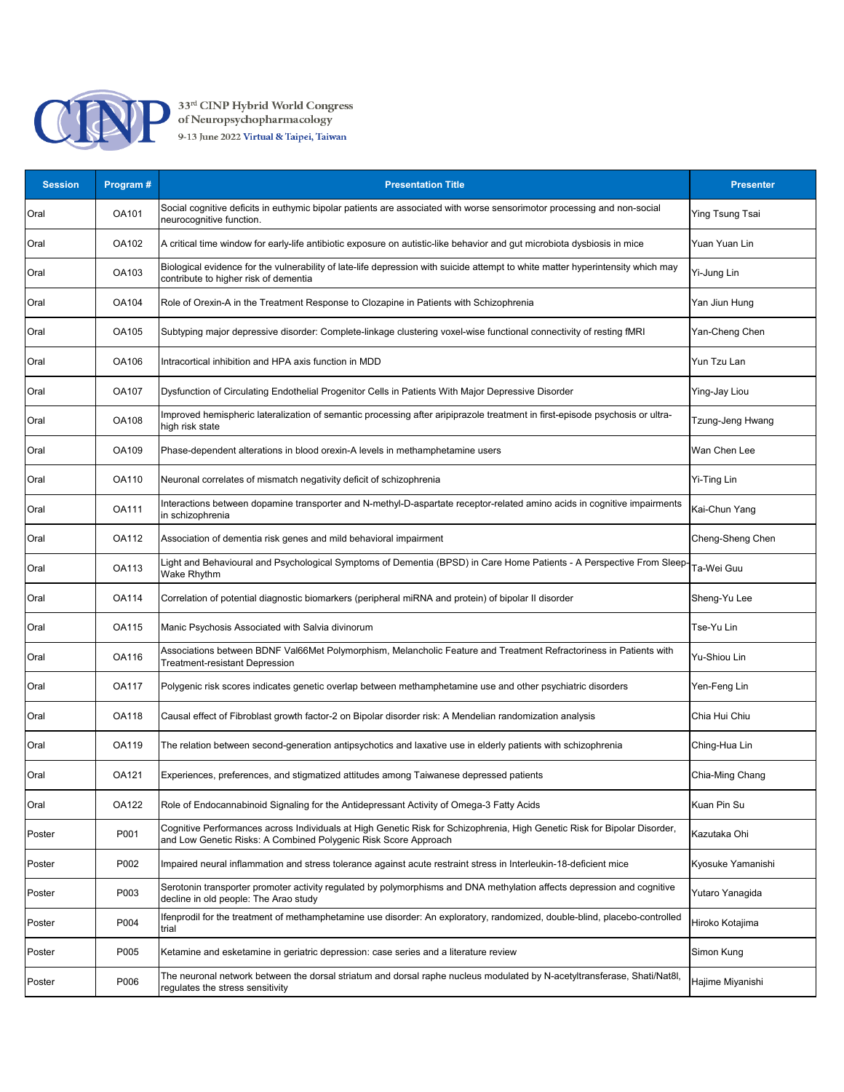

| <b>Session</b> | Program # | <b>Presentation Title</b>                                                                                                                                                                    | <b>Presenter</b>       |
|----------------|-----------|----------------------------------------------------------------------------------------------------------------------------------------------------------------------------------------------|------------------------|
| Oral           | OA101     | Social cognitive deficits in euthymic bipolar patients are associated with worse sensorimotor processing and non-social<br>neurocognitive function.                                          | <b>Ying Tsung Tsai</b> |
| Oral           | OA102     | A critical time window for early-life antibiotic exposure on autistic-like behavior and gut microbiota dysbiosis in mice                                                                     | Yuan Yuan Lin          |
| Oral           | OA103     | Biological evidence for the vulnerability of late-life depression with suicide attempt to white matter hyperintensity which may<br>contribute to higher risk of dementia                     | Yi-Jung Lin            |
| Oral           | OA104     | Role of Orexin-A in the Treatment Response to Clozapine in Patients with Schizophrenia                                                                                                       | Yan Jiun Hung          |
| Oral           | OA105     | Subtyping major depressive disorder: Complete-linkage clustering voxel-wise functional connectivity of resting fMRI                                                                          | Yan-Cheng Chen         |
| Oral           | OA106     | Intracortical inhibition and HPA axis function in MDD                                                                                                                                        | Yun Tzu Lan            |
| Oral           | OA107     | Dysfunction of Circulating Endothelial Progenitor Cells in Patients With Major Depressive Disorder                                                                                           | Ying-Jay Liou          |
| Oral           | OA108     | Improved hemispheric lateralization of semantic processing after aripiprazole treatment in first-episode psychosis or ultra-<br>high risk state                                              | Tzung-Jeng Hwang       |
| Oral           | OA109     | Phase-dependent alterations in blood orexin-A levels in methamphetamine users                                                                                                                | Wan Chen Lee           |
| Oral           | OA110     | Neuronal correlates of mismatch negativity deficit of schizophrenia                                                                                                                          | Yi-Ting Lin            |
| Oral           | OA111     | Interactions between dopamine transporter and N-methyl-D-aspartate receptor-related amino acids in cognitive impairments<br>in schizophrenia                                                 | Kai-Chun Yang          |
| Oral           | OA112     | Association of dementia risk genes and mild behavioral impairment                                                                                                                            | Cheng-Sheng Chen       |
| Oral           | OA113     | Light and Behavioural and Psychological Symptoms of Dementia (BPSD) in Care Home Patients - A Perspective From Sleep-<br>Wake Rhythm                                                         | Ta-Wei Guu             |
| Oral           | OA114     | Correlation of potential diagnostic biomarkers (peripheral miRNA and protein) of bipolar II disorder                                                                                         | Sheng-Yu Lee           |
| Oral           | OA115     | Manic Psychosis Associated with Salvia divinorum                                                                                                                                             | Tse-Yu Lin             |
| Oral           | OA116     | Associations between BDNF Val66Met Polymorphism, Melancholic Feature and Treatment Refractoriness in Patients with<br>Treatment-resistant Depression                                         | <b>Yu-Shiou Lin</b>    |
| Oral           | OA117     | Polygenic risk scores indicates genetic overlap between methamphetamine use and other psychiatric disorders                                                                                  | Yen-Feng Lin           |
| Oral           | OA118     | Causal effect of Fibroblast growth factor-2 on Bipolar disorder risk: A Mendelian randomization analysis                                                                                     | Chia Hui Chiu          |
| Oral           | OA119     | The relation between second-generation antipsychotics and laxative use in elderly patients with schizophrenia                                                                                | Ching-Hua Lin          |
| Oral           | OA121     | Experiences, preferences, and stigmatized attitudes among Taiwanese depressed patients                                                                                                       | Chia-Ming Chang        |
| Oral           | OA122     | Role of Endocannabinoid Signaling for the Antidepressant Activity of Omega-3 Fatty Acids                                                                                                     | Kuan Pin Su            |
| Poster         | P001      | Cognitive Performances across Individuals at High Genetic Risk for Schizophrenia, High Genetic Risk for Bipolar Disorder,<br>and Low Genetic Risks: A Combined Polygenic Risk Score Approach | Kazutaka Ohi           |
| Poster         | P002      | Impaired neural inflammation and stress tolerance against acute restraint stress in Interleukin-18-deficient mice                                                                            | Kyosuke Yamanishi      |
| Poster         | P003      | Serotonin transporter promoter activity regulated by polymorphisms and DNA methylation affects depression and cognitive<br>decline in old people: The Arao study                             | Yutaro Yanagida        |
| Poster         | P004      | Ifenprodil for the treatment of methamphetamine use disorder: An exploratory, randomized, double-blind, placebo-controlled<br>trial                                                          | Hiroko Kotajima        |
| Poster         | P005      | Ketamine and esketamine in geriatric depression: case series and a literature review                                                                                                         | Simon Kung             |
| Poster         | P006      | The neuronal network between the dorsal striatum and dorsal raphe nucleus modulated by N-acetyltransferase, Shati/Nat8l,<br>regulates the stress sensitivity                                 | Hajime Miyanishi       |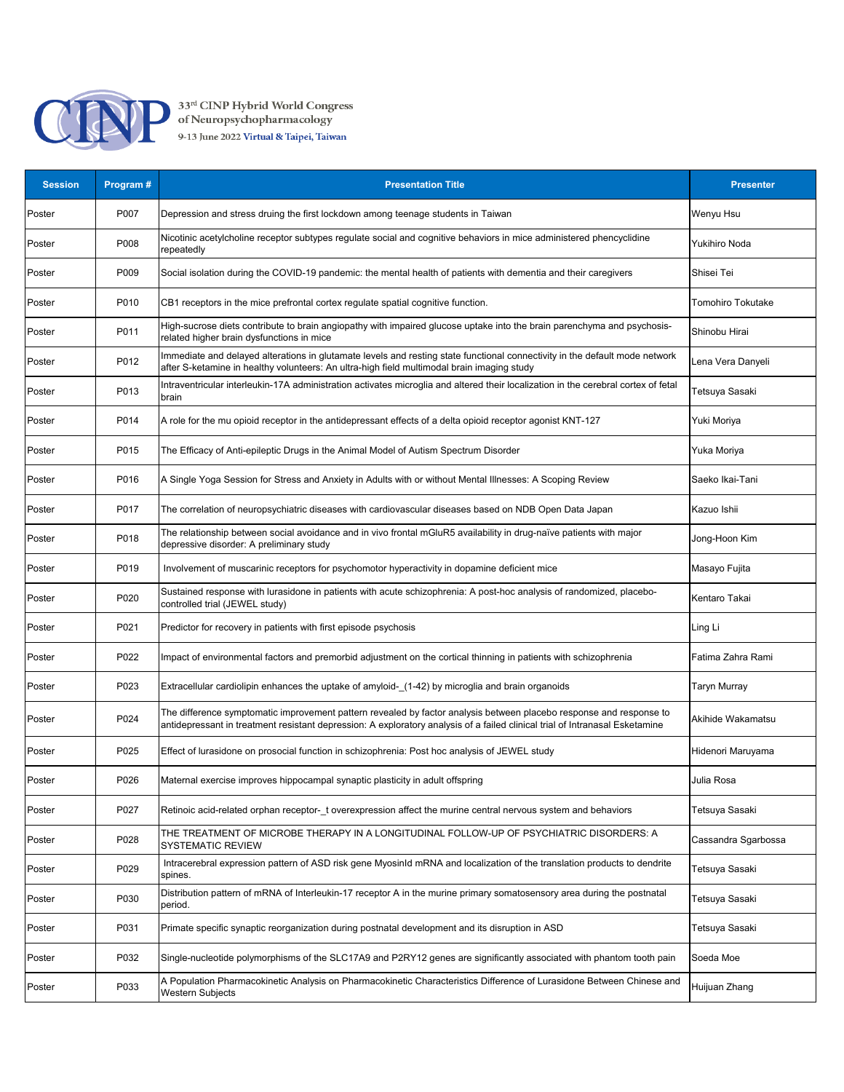

33<sup>rd</sup> CINP Hybrid World Congress<br>of Neuropsychopharmacology<br>9-13 June 2022 Virtual & Taipei, Taiwan

| <b>Session</b> | Program # | <b>Presentation Title</b>                                                                                                                                                                                                                           | <b>Presenter</b>    |
|----------------|-----------|-----------------------------------------------------------------------------------------------------------------------------------------------------------------------------------------------------------------------------------------------------|---------------------|
| Poster         | P007      | Depression and stress druing the first lockdown among teenage students in Taiwan                                                                                                                                                                    | Wenyu Hsu           |
| Poster         | P008      | Nicotinic acetylcholine receptor subtypes regulate social and cognitive behaviors in mice administered phencyclidine<br>repeatedly                                                                                                                  | Yukihiro Noda       |
| Poster         | P009      | Social isolation during the COVID-19 pandemic: the mental health of patients with dementia and their caregivers                                                                                                                                     | Shisei Tei          |
| Poster         | P010      | CB1 receptors in the mice prefrontal cortex regulate spatial cognitive function.                                                                                                                                                                    | Tomohiro Tokutake   |
| Poster         | P011      | High-sucrose diets contribute to brain angiopathy with impaired glucose uptake into the brain parenchyma and psychosis-<br>related higher brain dysfunctions in mice                                                                                | Shinobu Hirai       |
| Poster         | P012      | Immediate and delayed alterations in glutamate levels and resting state functional connectivity in the default mode network<br>after S-ketamine in healthy volunteers: An ultra-high field multimodal brain imaging study                           | Lena Vera Danyeli   |
| Poster         | P013      | Intraventricular interleukin-17A administration activates microglia and altered their localization in the cerebral cortex of fetal<br>brain                                                                                                         | Tetsuya Sasaki      |
| Poster         | P014      | A role for the mu opioid receptor in the antidepressant effects of a delta opioid receptor agonist KNT-127                                                                                                                                          | Yuki Moriya         |
| Poster         | P015      | The Efficacy of Anti-epileptic Drugs in the Animal Model of Autism Spectrum Disorder                                                                                                                                                                | Yuka Moriya         |
| Poster         | P016      | A Single Yoga Session for Stress and Anxiety in Adults with or without Mental Illnesses: A Scoping Review                                                                                                                                           | Saeko Ikai-Tani     |
| Poster         | P017      | The correlation of neuropsychiatric diseases with cardiovascular diseases based on NDB Open Data Japan                                                                                                                                              | Kazuo Ishii         |
| Poster         | P018      | The relationship between social avoidance and in vivo frontal mGluR5 availability in drug-naïve patients with major<br>depressive disorder: A preliminary study                                                                                     | Jong-Hoon Kim       |
| Poster         | P019      | Involvement of muscarinic receptors for psychomotor hyperactivity in dopamine deficient mice                                                                                                                                                        | Masayo Fujita       |
| Poster         | P020      | Sustained response with lurasidone in patients with acute schizophrenia: A post-hoc analysis of randomized, placebo-<br>controlled trial (JEWEL study)                                                                                              | Kentaro Takai       |
| Poster         | P021      | Predictor for recovery in patients with first episode psychosis                                                                                                                                                                                     | Ling Li             |
| Poster         | P022      | Impact of environmental factors and premorbid adjustment on the cortical thinning in patients with schizophrenia                                                                                                                                    | Fatima Zahra Rami   |
| Poster         | P023      | Extracellular cardiolipin enhances the uptake of amyloid-_(1-42) by microglia and brain organoids                                                                                                                                                   | Taryn Murray        |
| Poster         | P024      | The difference symptomatic improvement pattern revealed by factor analysis between placebo response and response to<br>antidepressant in treatment resistant depression: A exploratory analysis of a failed clinical trial of Intranasal Esketamine | Akihide Wakamatsu   |
| Poster         | P025      | Effect of lurasidone on prosocial function in schizophrenia: Post hoc analysis of JEWEL study                                                                                                                                                       | Hidenori Maruyama   |
| Poster         | P026      | Maternal exercise improves hippocampal synaptic plasticity in adult offspring                                                                                                                                                                       | Julia Rosa          |
| Poster         | P027      | Retinoic acid-related orphan receptor-_t overexpression affect the murine central nervous system and behaviors                                                                                                                                      | Tetsuya Sasaki      |
| Poster         | P028      | THE TREATMENT OF MICROBE THERAPY IN A LONGITUDINAL FOLLOW-UP OF PSYCHIATRIC DISORDERS: A<br><b>SYSTEMATIC REVIEW</b>                                                                                                                                | Cassandra Sgarbossa |
| Poster         | P029      | Intracerebral expression pattern of ASD risk gene MyosinId mRNA and localization of the translation products to dendrite<br>spines.                                                                                                                 | Tetsuya Sasaki      |
| Poster         | P030      | Distribution pattern of mRNA of Interleukin-17 receptor A in the murine primary somatosensory area during the postnatal<br>period.                                                                                                                  | Tetsuya Sasaki      |
| Poster         | P031      | Primate specific synaptic reorganization during postnatal development and its disruption in ASD                                                                                                                                                     | Tetsuya Sasaki      |
| Poster         | P032      | Single-nucleotide polymorphisms of the SLC17A9 and P2RY12 genes are significantly associated with phantom tooth pain                                                                                                                                | Soeda Moe           |
| Poster         | P033      | A Population Pharmacokinetic Analysis on Pharmacokinetic Characteristics Difference of Lurasidone Between Chinese and<br>Western Subjects                                                                                                           | Huijuan Zhang       |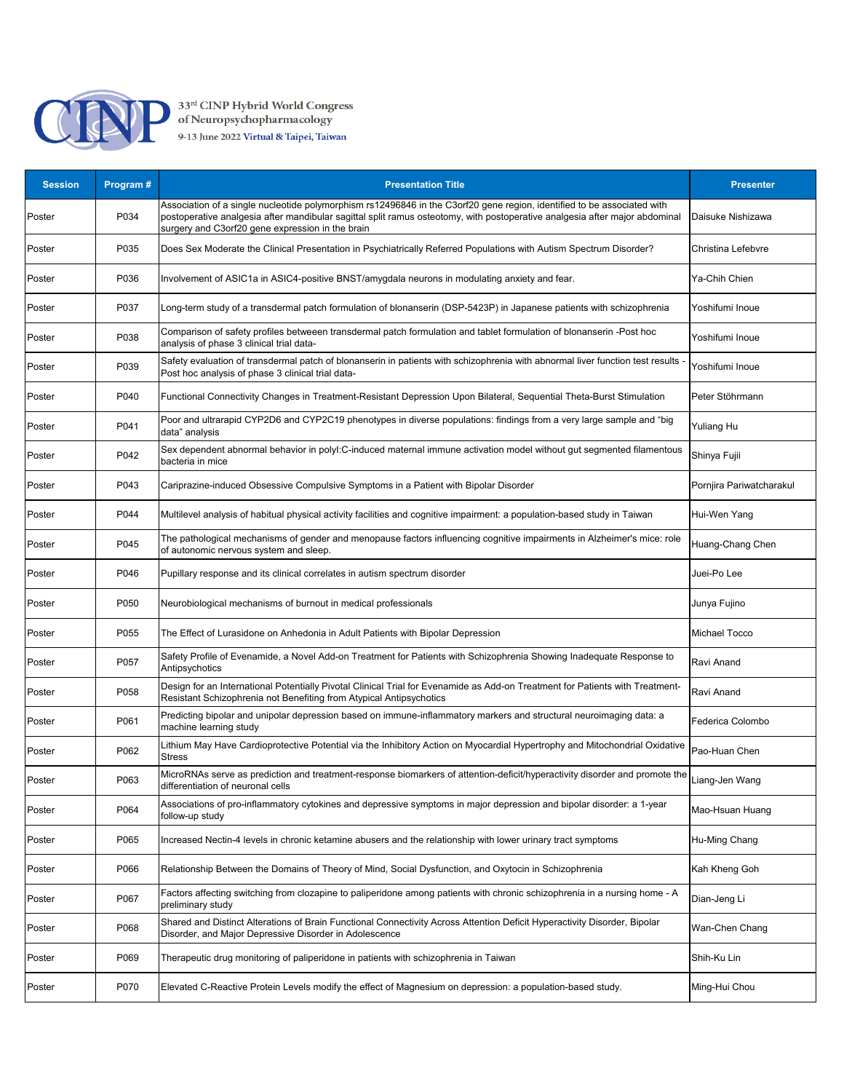

| <b>Session</b> | Program# | <b>Presentation Title</b>                                                                                                                                                                                                                                                                                  | <b>Presenter</b>         |
|----------------|----------|------------------------------------------------------------------------------------------------------------------------------------------------------------------------------------------------------------------------------------------------------------------------------------------------------------|--------------------------|
| Poster         | P034     | Association of a single nucleotide polymorphism rs12496846 in the C3orf20 gene region, identified to be associated with<br>postoperative analgesia after mandibular sagittal split ramus osteotomy, with postoperative analgesia after major abdominal<br>surgery and C3orf20 gene expression in the brain | Daisuke Nishizawa        |
| Poster         | P035     | Does Sex Moderate the Clinical Presentation in Psychiatrically Referred Populations with Autism Spectrum Disorder?                                                                                                                                                                                         | Christina Lefebvre       |
| Poster         | P036     | nvolvement of ASIC1a in ASIC4-positive BNST/amygdala neurons in modulating anxiety and fear.                                                                                                                                                                                                               | Ya-Chih Chien            |
| Poster         | P037     | ong-term study of a transdermal patch formulation of blonanserin (DSP-5423P) in Japanese patients with schizophrenia                                                                                                                                                                                       | Yoshifumi Inoue          |
| Poster         | P038     | Comparison of safety profiles betweeen transdermal patch formulation and tablet formulation of blonanserin -Post hoc<br>analysis of phase 3 clinical trial data-                                                                                                                                           | Yoshifumi Inoue          |
| Poster         | P039     | Safety evaluation of transdermal patch of blonanserin in patients with schizophrenia with abnormal liver function test results<br>Post hoc analysis of phase 3 clinical trial data-                                                                                                                        | Yoshifumi Inoue          |
| Poster         | P040     | Functional Connectivity Changes in Treatment-Resistant Depression Upon Bilateral, Sequential Theta-Burst Stimulation                                                                                                                                                                                       | Peter Stöhrmann          |
| Poster         | P041     | Poor and ultrarapid CYP2D6 and CYP2C19 phenotypes in diverse populations: findings from a very large sample and "big<br>data" analysis                                                                                                                                                                     | <b>Yuliang Hu</b>        |
| Poster         | P042     | Sex dependent abnormal behavior in polyl:C-induced maternal immune activation model without gut segmented filamentous<br>bacteria in mice                                                                                                                                                                  | Shinya Fujii             |
| Poster         | P043     | Cariprazine-induced Obsessive Compulsive Symptoms in a Patient with Bipolar Disorder                                                                                                                                                                                                                       | Pornjira Pariwatcharakul |
| Poster         | P044     | Multilevel analysis of habitual physical activity facilities and cognitive impairment: a population-based study in Taiwan                                                                                                                                                                                  | Hui-Wen Yang             |
| Poster         | P045     | The pathological mechanisms of gender and menopause factors influencing cognitive impairments in Alzheimer's mice: role<br>of autonomic nervous system and sleep.                                                                                                                                          | Huang-Chang Chen         |
| Poster         | P046     | Pupillary response and its clinical correlates in autism spectrum disorder                                                                                                                                                                                                                                 | Juei-Po Lee              |
| Poster         | P050     | Neurobiological mechanisms of burnout in medical professionals                                                                                                                                                                                                                                             | Junya Fujino             |
| Poster         | P055     | The Effect of Lurasidone on Anhedonia in Adult Patients with Bipolar Depression                                                                                                                                                                                                                            | <b>Michael Tocco</b>     |
| Poster         | P057     | Safety Profile of Evenamide, a Novel Add-on Treatment for Patients with Schizophrenia Showing Inadequate Response to<br>Antipsychotics                                                                                                                                                                     | Ravi Anand               |
| Poster         | P058     | Design for an International Potentially Pivotal Clinical Trial for Evenamide as Add-on Treatment for Patients with Treatment-<br>Resistant Schizophrenia not Benefiting from Atypical Antipsychotics                                                                                                       | Ravi Anand               |
| Poster         | P061     | Predicting bipolar and unipolar depression based on immune-inflammatory markers and structural neuroimaging data: a<br>machine learning study                                                                                                                                                              | Federica Colombo         |
| Poster         | P062     | Lithium May Have Cardioprotective Potential via the Inhibitory Action on Myocardial Hypertrophy and Mitochondrial Oxidative<br>Stress                                                                                                                                                                      | Pao-Huan Chen            |
| Poster         | P063     | MicroRNAs serve as prediction and treatment-response biomarkers of attention-deficit/hyperactivity disorder and promote the<br>differentiation of neuronal cells                                                                                                                                           | Liang-Jen Wang           |
| Poster         | P064     | Associations of pro-inflammatory cytokines and depressive symptoms in major depression and bipolar disorder: a 1-year<br>follow-up study                                                                                                                                                                   | Mao-Hsuan Huang          |
| Poster         | P065     | Increased Nectin-4 levels in chronic ketamine abusers and the relationship with lower urinary tract symptoms                                                                                                                                                                                               | Hu-Ming Chang            |
| Poster         | P066     | Relationship Between the Domains of Theory of Mind, Social Dysfunction, and Oxytocin in Schizophrenia                                                                                                                                                                                                      | Kah Kheng Goh            |
| Poster         | P067     | Factors affecting switching from clozapine to paliperidone among patients with chronic schizophrenia in a nursing home - A<br>preliminary study                                                                                                                                                            | Dian-Jeng Li             |
| Poster         | P068     | Shared and Distinct Alterations of Brain Functional Connectivity Across Attention Deficit Hyperactivity Disorder, Bipolar<br>Disorder, and Major Depressive Disorder in Adolescence                                                                                                                        | Wan-Chen Chang           |
| Poster         | P069     | Therapeutic drug monitoring of paliperidone in patients with schizophrenia in Taiwan                                                                                                                                                                                                                       | Shih-Ku Lin              |
| Poster         | P070     | Elevated C-Reactive Protein Levels modify the effect of Magnesium on depression: a population-based study.                                                                                                                                                                                                 | Ming-Hui Chou            |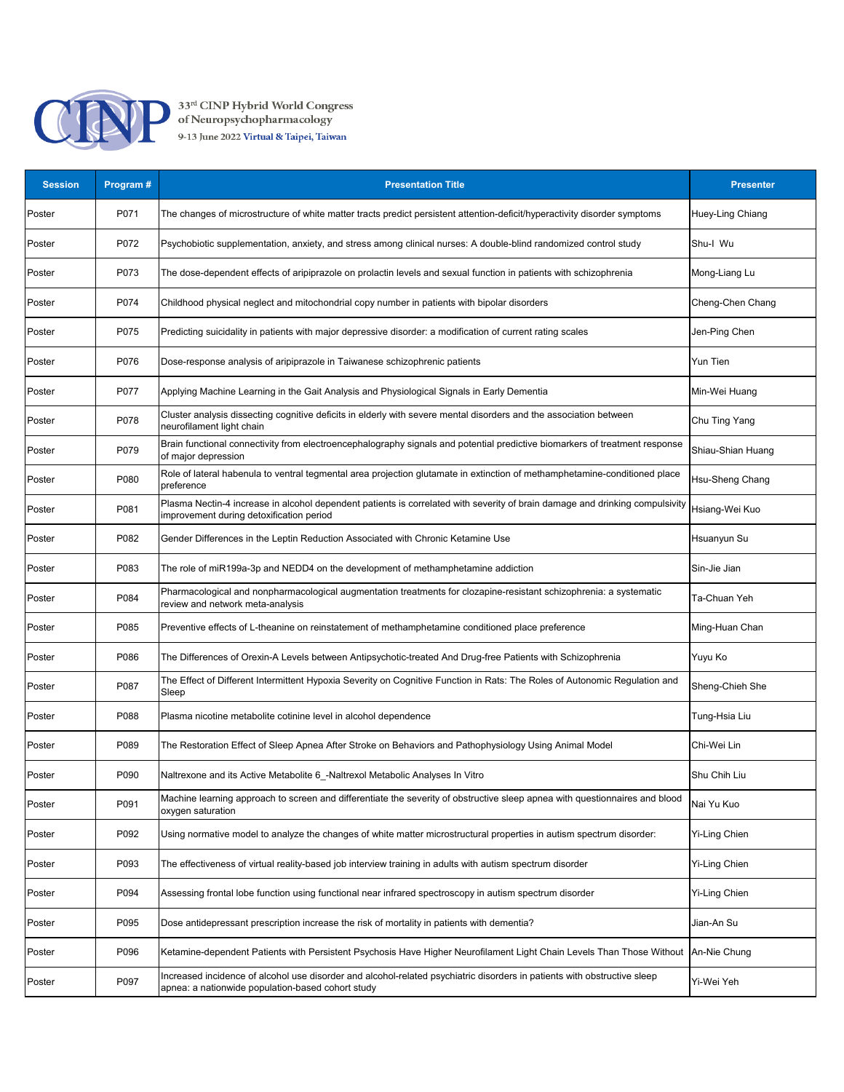

| <b>Session</b> | Program# | <b>Presentation Title</b>                                                                                                                                                     | <b>Presenter</b>     |
|----------------|----------|-------------------------------------------------------------------------------------------------------------------------------------------------------------------------------|----------------------|
| Poster         | P071     | The changes of microstructure of white matter tracts predict persistent attention-deficit/hyperactivity disorder symptoms                                                     | Huey-Ling Chiang     |
| Poster         | P072     | Psychobiotic supplementation, anxiety, and stress among clinical nurses: A double-blind randomized control study                                                              | Shu-I Wu             |
| Poster         | P073     | The dose-dependent effects of aripiprazole on prolactin levels and sexual function in patients with schizophrenia                                                             | Mong-Liang Lu        |
| Poster         | P074     | Childhood physical neglect and mitochondrial copy number in patients with bipolar disorders                                                                                   | Cheng-Chen Chang     |
| Poster         | P075     | Predicting suicidality in patients with major depressive disorder: a modification of current rating scales                                                                    | Jen-Ping Chen        |
| Poster         | P076     | Dose-response analysis of aripiprazole in Taiwanese schizophrenic patients                                                                                                    | <b>Yun Tien</b>      |
| Poster         | P077     | Applying Machine Learning in the Gait Analysis and Physiological Signals in Early Dementia                                                                                    | Min-Wei Huang        |
| Poster         | P078     | Cluster analysis dissecting cognitive deficits in elderly with severe mental disorders and the association between<br>neurofilament light chain                               | Chu Ting Yang        |
| Poster         | P079     | Brain functional connectivity from electroencephalography signals and potential predictive biomarkers of treatment response<br>of major depression                            | Shiau-Shian Huang    |
| Poster         | P080     | Role of lateral habenula to ventral tegmental area projection glutamate in extinction of methamphetamine-conditioned place<br>preference                                      | Hsu-Sheng Chang      |
| Poster         | P081     | Plasma Nectin-4 increase in alcohol dependent patients is correlated with severity of brain damage and drinking compulsivity<br>improvement during detoxification period      | Hsiang-Wei Kuo       |
| Poster         | P082     | Gender Differences in the Leptin Reduction Associated with Chronic Ketamine Use                                                                                               | Hsuanyun Su          |
| Poster         | P083     | The role of miR199a-3p and NEDD4 on the development of methamphetamine addiction                                                                                              | Sin-Jie Jian         |
| Poster         | P084     | Pharmacological and nonpharmacological augmentation treatments for clozapine-resistant schizophrenia: a systematic<br>review and network meta-analysis                        | Ta-Chuan Yeh         |
| Poster         | P085     | Preventive effects of L-theanine on reinstatement of methamphetamine conditioned place preference                                                                             | Ming-Huan Chan       |
| Poster         | P086     | The Differences of Orexin-A Levels between Antipsychotic-treated And Drug-free Patients with Schizophrenia                                                                    | Yuyu Ko              |
| Poster         | P087     | The Effect of Different Intermittent Hypoxia Severity on Cognitive Function in Rats: The Roles of Autonomic Regulation and<br>Sleep                                           | Sheng-Chieh She      |
| Poster         | P088     | Plasma nicotine metabolite cotinine level in alcohol dependence                                                                                                               | Tung-Hsia Liu        |
| Poster         | P089     | The Restoration Effect of Sleep Apnea After Stroke on Behaviors and Pathophysiology Using Animal Model                                                                        | Chi-Wei Lin          |
| Poster         | P090     | Naltrexone and its Active Metabolite 6_-Naltrexol Metabolic Analyses In Vitro                                                                                                 | Shu Chih Liu         |
| Poster         | P091     | Machine learning approach to screen and differentiate the severity of obstructive sleep apnea with questionnaires and blood<br>oxygen saturation                              | Nai Yu Kuo           |
| Poster         | P092     | Using normative model to analyze the changes of white matter microstructural properties in autism spectrum disorder:                                                          | <b>Yi-Ling Chien</b> |
| Poster         | P093     | The effectiveness of virtual reality-based job interview training in adults with autism spectrum disorder                                                                     | Yi-Ling Chien        |
| Poster         | P094     | Assessing frontal lobe function using functional near infrared spectroscopy in autism spectrum disorder                                                                       | Yi-Ling Chien        |
| Poster         | P095     | Dose antidepressant prescription increase the risk of mortality in patients with dementia?                                                                                    | Jian-An Su           |
| Poster         | P096     | Ketamine-dependent Patients with Persistent Psychosis Have Higher Neurofilament Light Chain Levels Than Those Without                                                         | An-Nie Chung         |
| Poster         | P097     | Increased incidence of alcohol use disorder and alcohol-related psychiatric disorders in patients with obstructive sleep<br>apnea: a nationwide population-based cohort study | Yi-Wei Yeh           |